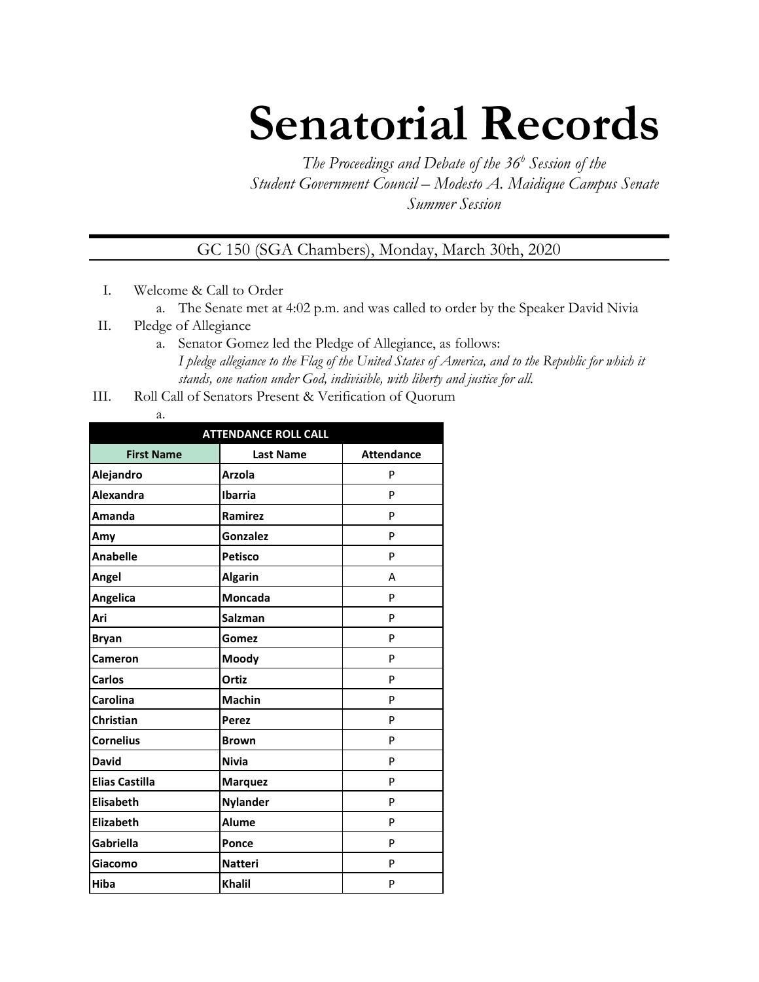## **Senatorial Records**

*The Proceedings and Debate of the 36 <sup>h</sup> Session of the Student Government Council – Modesto A. Maidique Campus Senate Summer Session*

GC 150 (SGA Chambers), Monday, March 30th, 2020

- I. Welcome & Call to Order
	- a. The Senate met at 4:02 p.m. and was called to order by the Speaker David Nivia
- II. Pledge of Allegiance
	- a. Senator Gomez led the Pledge of Allegiance, as follows: *I pledge allegiance to the Flag of the United States of America, and to the Republic for which it stands, one nation under God, indivisible, with liberty and justice for all.*
- III. Roll Call of Senators Present & Verification of Quorum
	- a.

| <b>ATTENDANCE ROLL CALL</b> |                  |                   |  |  |
|-----------------------------|------------------|-------------------|--|--|
| <b>First Name</b>           | <b>Last Name</b> | <b>Attendance</b> |  |  |
| Alejandro                   | <b>Arzola</b>    | P                 |  |  |
| Alexandra                   | <b>Ibarria</b>   | P                 |  |  |
| Amanda                      | Ramirez          | P                 |  |  |
| Amy                         | Gonzalez         | P                 |  |  |
| <b>Anabelle</b>             | <b>Petisco</b>   | P                 |  |  |
| Angel                       | <b>Algarin</b>   | А                 |  |  |
| Angelica                    | <b>Moncada</b>   | P                 |  |  |
| Ari                         | <b>Salzman</b>   | P                 |  |  |
| <b>Bryan</b>                | Gomez            | P                 |  |  |
| Cameron                     | Moody            | P                 |  |  |
| Carlos                      | Ortiz            | P                 |  |  |
| Carolina                    | <b>Machin</b>    | P                 |  |  |
| <b>Christian</b>            | <b>Perez</b>     | P                 |  |  |
| <b>Cornelius</b>            | <b>Brown</b>     | P                 |  |  |
| <b>David</b>                | <b>Nivia</b>     | P                 |  |  |
| <b>Elias Castilla</b>       | <b>Marquez</b>   | P                 |  |  |
| <b>Elisabeth</b>            | <b>Nylander</b>  | P                 |  |  |
| <b>Elizabeth</b>            | <b>Alume</b>     | p                 |  |  |
| <b>Gabriella</b>            | Ponce            | P                 |  |  |
| Giacomo                     | <b>Natteri</b>   | P                 |  |  |
| Hiba                        | <b>Khalil</b>    | P                 |  |  |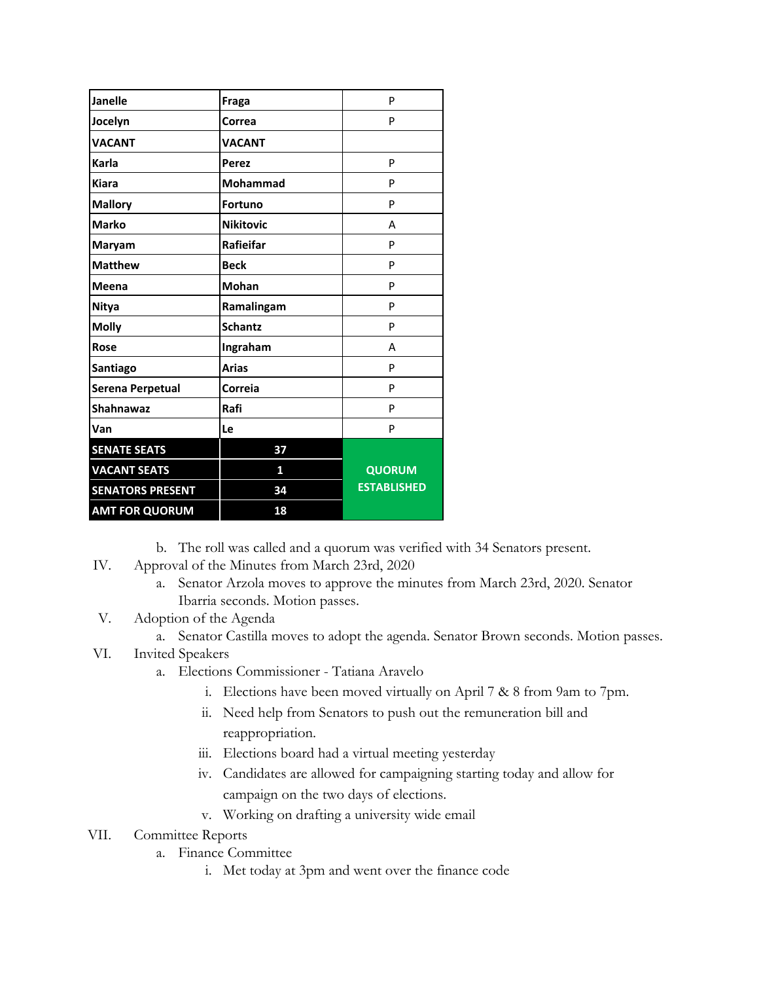| <b>Janelle</b>          | Fraga            | P                  |
|-------------------------|------------------|--------------------|
| Jocelyn                 | Correa           | P                  |
| <b>VACANT</b>           | <b>VACANT</b>    |                    |
| Karla                   | <b>Perez</b>     | P                  |
| <b>Kiara</b>            | <b>Mohammad</b>  | P                  |
| <b>Mallory</b>          | <b>Fortuno</b>   | P                  |
| <b>Marko</b>            | <b>Nikitovic</b> | A                  |
| Maryam                  | Rafieifar        | P                  |
| <b>Matthew</b>          | <b>Beck</b>      | P                  |
| Meena                   | <b>Mohan</b>     | P                  |
| <b>Nitya</b>            | Ramalingam       | P                  |
| <b>Molly</b>            | <b>Schantz</b>   | P                  |
| Rose                    | Ingraham         | A                  |
| Santiago                | <b>Arias</b>     | P                  |
| Serena Perpetual        | Correia          | P                  |
| <b>Shahnawaz</b>        | Rafi             | P                  |
| Van                     | Le               | P                  |
| <b>SENATE SEATS</b>     | 37               |                    |
| <b>VACANT SEATS</b>     | 1                | <b>QUORUM</b>      |
| <b>SENATORS PRESENT</b> | 34               | <b>ESTABLISHED</b> |
| <b>AMT FOR QUORUM</b>   | 18               |                    |

b. The roll was called and a quorum was verified with 34 Senators present.

- IV. Approval of the Minutes from March 23rd, 2020
	- a. Senator Arzola moves to approve the minutes from March 23rd, 2020. Senator Ibarria seconds. Motion passes.
- V. Adoption of the Agenda
	- a. Senator Castilla moves to adopt the agenda. Senator Brown seconds. Motion passes.
- VI. Invited Speakers
	- a. Elections Commissioner Tatiana Aravelo
		- i. Elections have been moved virtually on April 7 & 8 from 9am to 7pm.
		- ii. Need help from Senators to push out the remuneration bill and reappropriation.
		- iii. Elections board had a virtual meeting yesterday
		- iv. Candidates are allowed for campaigning starting today and allow for campaign on the two days of elections.
		- v. Working on drafting a university wide email
- VII. Committee Reports
	- a. Finance Committee
		- i. Met today at 3pm and went over the finance code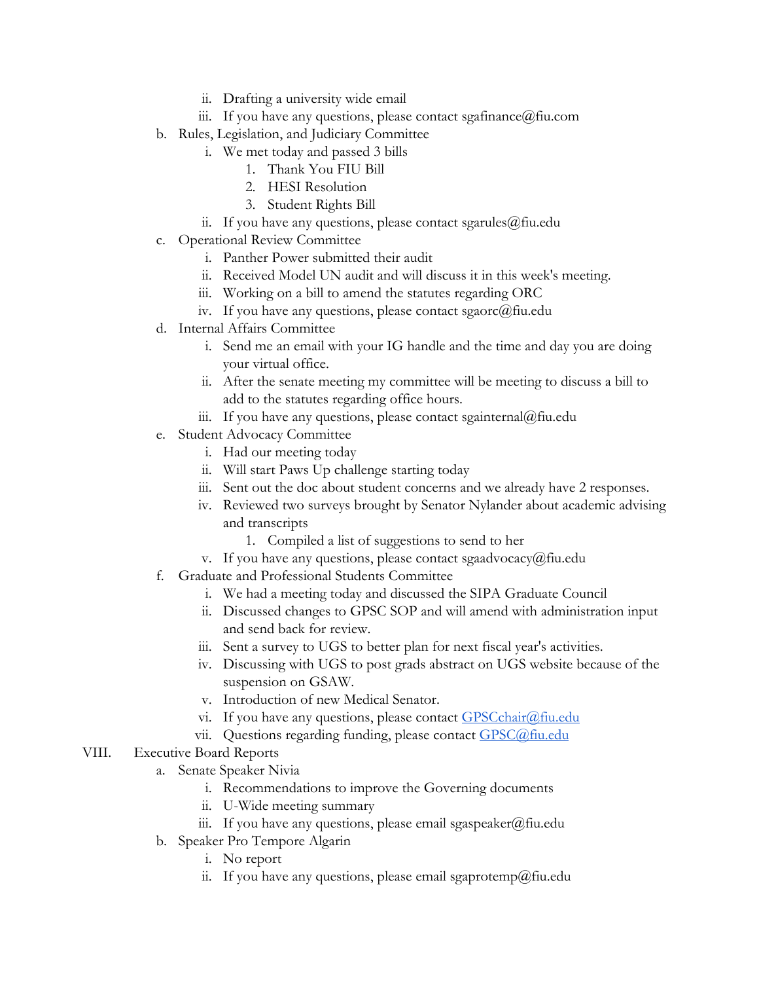- ii. Drafting a university wide email
- iii. If you have any questions, please contact sgafinance  $@$  fiu.com
- b. Rules, Legislation, and Judiciary Committee
	- i. We met today and passed 3 bills
		- 1. Thank You FIU Bill
		- 2. HESI Resolution
		- 3. Student Rights Bill
	- ii. If you have any questions, please contact sgarules@fiu.edu
- c. Operational Review Committee
	- i. Panther Power submitted their audit
	- ii. Received Model UN audit and will discuss it in this week's meeting.
	- iii. Working on a bill to amend the statutes regarding ORC
	- iv. If you have any questions, please contact sgaorc $@$ fiu.edu
- d. Internal Affairs Committee
	- i. Send me an email with your IG handle and the time and day you are doing your virtual office.
	- ii. After the senate meeting my committee will be meeting to discuss a bill to add to the statutes regarding office hours.
	- iii. If you have any questions, please contact sgainternal@fiu.edu
- e. Student Advocacy Committee
	- i. Had our meeting today
	- ii. Will start Paws Up challenge starting today
	- iii. Sent out the doc about student concerns and we already have 2 responses.
	- iv. Reviewed two surveys brought by Senator Nylander about academic advising and transcripts
		- 1. Compiled a list of suggestions to send to her
	- v. If you have any questions, please contact sgaadvocacy@fiu.edu
- f. Graduate and Professional Students Committee
	- i. We had a meeting today and discussed the SIPA Graduate Council
	- ii. Discussed changes to GPSC SOP and will amend with administration input and send back for review.
	- iii. Sent a survey to UGS to better plan for next fiscal year's activities.
	- iv. Discussing with UGS to post grads abstract on UGS website because of the suspension on GSAW.
	- v. Introduction of new Medical Senator.
	- vi. If you have any questions, please contact  $GPSCchar(\partial f\hat{u} \cdot \text{edu})$
	- vii. Questions regarding funding, please contact [GPSC@fiu.edu](mailto:GPC@fiu.edu)
- VIII. Executive Board Reports
	- a. Senate Speaker Nivia
		- i. Recommendations to improve the Governing documents
		- ii. U-Wide meeting summary
		- iii. If you have any questions, please email sgaspeaker@fiu.edu
	- b. Speaker Pro Tempore Algarin
		- i. No report
		- ii. If you have any questions, please email sgaprotemp@fiu.edu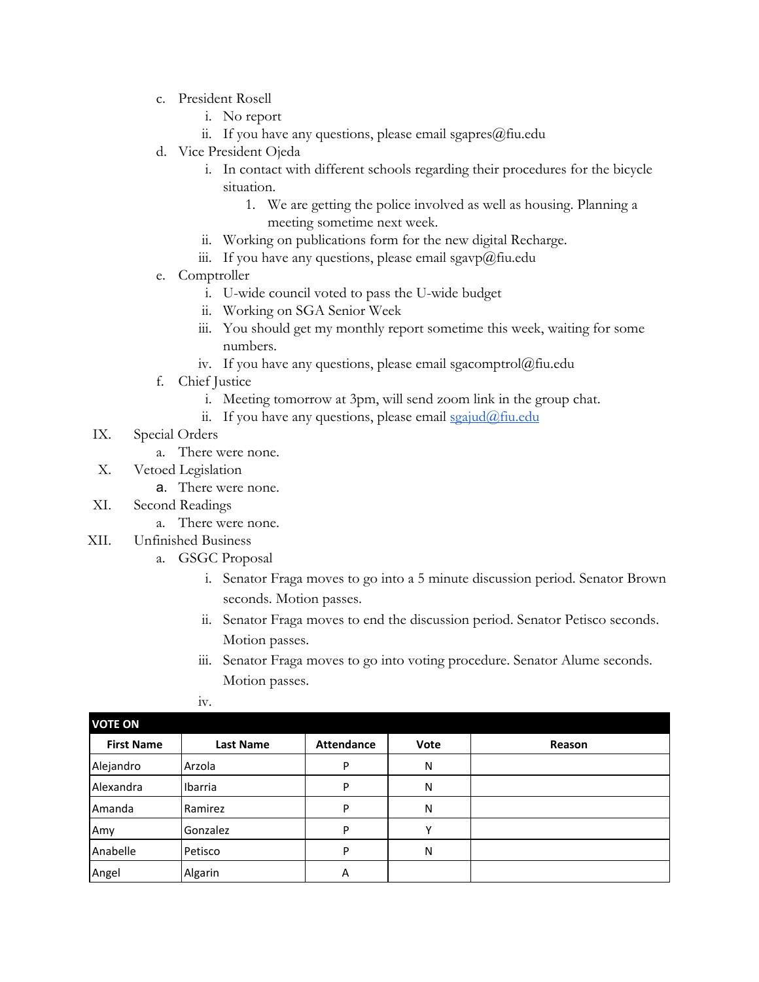- c. President Rosell
	- i. No report
	- ii. If you have any questions, please email sgapres $@$ fiu.edu
- d. Vice President Ojeda
	- i. In contact with different schools regarding their procedures for the bicycle situation.
		- 1. We are getting the police involved as well as housing. Planning a meeting sometime next week.
	- ii. Working on publications form for the new digital Recharge.
	- iii. If you have any questions, please email sgavp@fiu.edu
- e. Comptroller
	- i. U-wide council voted to pass the U-wide budget
	- ii. Working on SGA Senior Week
	- iii. You should get my monthly report sometime this week, waiting for some numbers.
	- iv. If you have any questions, please email sgacomptrol@fiu.edu
- f. Chief Justice
	- i. Meeting tomorrow at 3pm, will send zoom link in the group chat.
	- ii. If you have any questions, please email  $sgaiud@final$
- IX. Special Orders
	- a. There were none.
- X. Vetoed Legislation
	- a. There were none.
- XI. Second Readings
	- a. There were none.
- XII. Unfinished Business
	- a. GSGC Proposal
		- i. Senator Fraga moves to go into a 5 minute discussion period. Senator Brown seconds. Motion passes.
		- ii. Senator Fraga moves to end the discussion period. Senator Petisco seconds. Motion passes.
		- iii. Senator Fraga moves to go into voting procedure. Senator Alume seconds. Motion passes.
		- iv.

| <b>VOTE ON</b>    |           |                   |      |        |
|-------------------|-----------|-------------------|------|--------|
| <b>First Name</b> | Last Name | <b>Attendance</b> | Vote | Reason |
| Alejandro         | Arzola    | P                 | N    |        |
| Alexandra         | Ibarria   | P                 | N    |        |
| Amanda            | Ramirez   | P                 | N    |        |
| Amy               | Gonzalez  | P                 | ν    |        |
| Anabelle          | Petisco   | D                 | N    |        |
| Angel             | Algarin   | Α                 |      |        |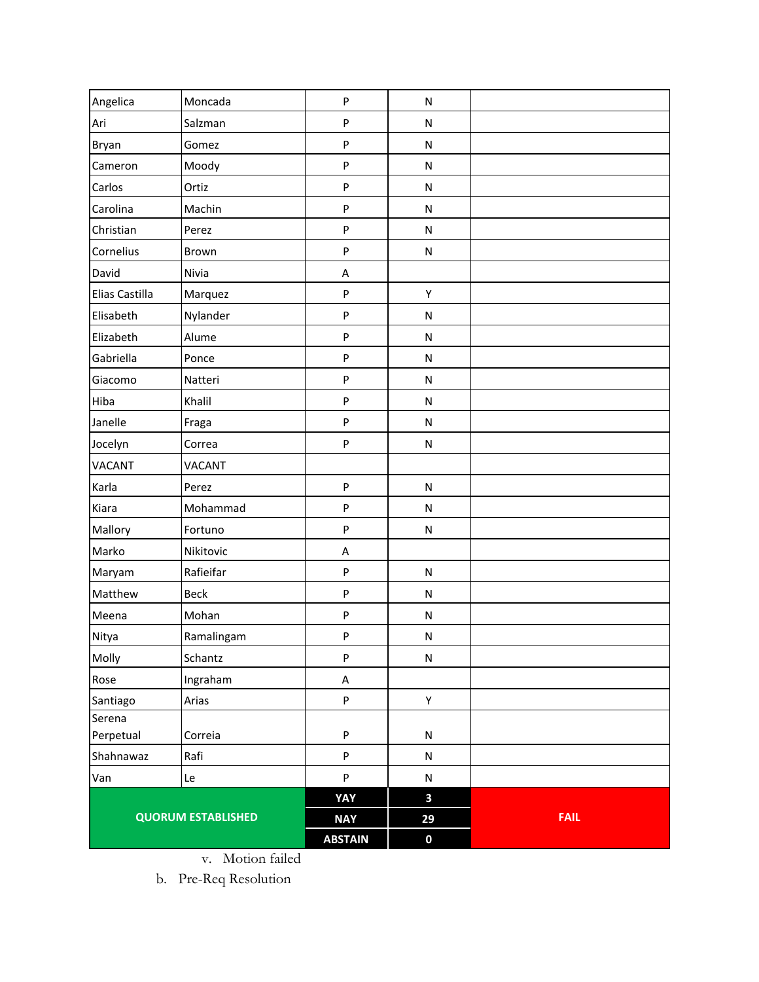| Angelica       | Moncada                   | $\mathsf{P}$              | ${\sf N}$        |             |
|----------------|---------------------------|---------------------------|------------------|-------------|
| Ari            | Salzman                   | $\boldsymbol{\mathsf{P}}$ | ${\sf N}$        |             |
| Bryan          | Gomez                     | ${\sf P}$                 | ${\sf N}$        |             |
| Cameron        | Moody                     | ${\sf P}$                 | ${\sf N}$        |             |
| Carlos         | Ortiz                     | P                         | ${\sf N}$        |             |
| Carolina       | Machin                    | $\boldsymbol{\mathsf{P}}$ | N                |             |
| Christian      | Perez                     | ${\sf P}$                 | N                |             |
| Cornelius      | Brown                     | ${\sf P}$                 | ${\sf N}$        |             |
| David          | Nivia                     | A                         |                  |             |
| Elias Castilla | Marquez                   | $\boldsymbol{\mathsf{P}}$ | Υ                |             |
| Elisabeth      | Nylander                  | P                         | ${\sf N}$        |             |
| Elizabeth      | Alume                     | ${\sf P}$                 | ${\sf N}$        |             |
| Gabriella      | Ponce                     | ${\sf P}$                 | ${\sf N}$        |             |
| Giacomo        | Natteri                   | ${\sf P}$                 | N                |             |
| Hiba           | Khalil                    | ${\sf P}$                 | ${\sf N}$        |             |
| Janelle        | Fraga                     | ${\sf P}$                 | ${\sf N}$        |             |
| Jocelyn        | Correa                    | ${\sf P}$                 | ${\sf N}$        |             |
| VACANT         | VACANT                    |                           |                  |             |
| Karla          | Perez                     | $\boldsymbol{\mathsf{P}}$ | ${\sf N}$        |             |
| Kiara          | Mohammad                  | ${\sf P}$                 | ${\sf N}$        |             |
| Mallory        | Fortuno                   | P                         | N                |             |
| Marko          | Nikitovic                 | A                         |                  |             |
| Maryam         | Rafieifar                 | ${\sf P}$                 | ${\sf N}$        |             |
| Matthew        | Beck                      | ${\sf P}$                 | ${\sf N}$        |             |
| Meena          | Mohan                     | ${\sf P}$                 | N                |             |
| Nitya          | Ramalingam                | ${\sf P}$                 | ${\sf N}$        |             |
| Molly          | Schantz                   | $\sf P$                   | ${\sf N}$        |             |
| Rose           | Ingraham                  | A                         |                  |             |
| Santiago       | Arias                     | $\boldsymbol{\mathsf{P}}$ | Y                |             |
| Serena         |                           |                           |                  |             |
| Perpetual      | Correia                   | $\boldsymbol{\mathsf{P}}$ | ${\sf N}$        |             |
| Shahnawaz      | Rafi                      | $\boldsymbol{\mathsf{P}}$ | ${\sf N}$        |             |
| Van            | Le                        | $\boldsymbol{\mathsf{P}}$ | ${\sf N}$        |             |
|                |                           | YAY                       | 3                |             |
|                | <b>QUORUM ESTABLISHED</b> | <b>NAY</b>                | 29               | <b>FAIL</b> |
|                |                           | <b>ABSTAIN</b>            | $\boldsymbol{0}$ |             |

v. Motion failed

b. Pre-Req Resolution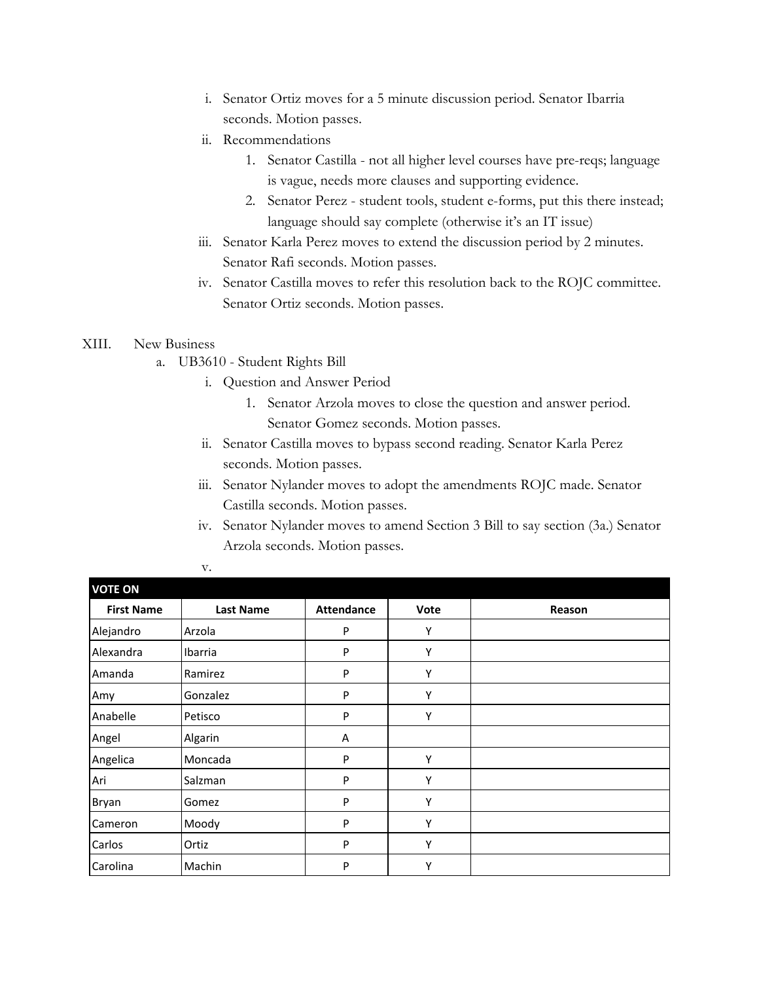- i. Senator Ortiz moves for a 5 minute discussion period. Senator Ibarria seconds. Motion passes.
- ii. Recommendations
	- 1. Senator Castilla not all higher level courses have pre-reqs; language is vague, needs more clauses and supporting evidence.
	- 2. Senator Perez student tools, student e-forms, put this there instead; language should say complete (otherwise it's an IT issue)
- iii. Senator Karla Perez moves to extend the discussion period by 2 minutes. Senator Rafi seconds. Motion passes.
- iv. Senator Castilla moves to refer this resolution back to the ROJC committee. Senator Ortiz seconds. Motion passes.

## XIII. New Business

- a. UB3610 Student Rights Bill
	- i. Question and Answer Period
		- 1. Senator Arzola moves to close the question and answer period. Senator Gomez seconds. Motion passes.
	- ii. Senator Castilla moves to bypass second reading. Senator Karla Perez seconds. Motion passes.
	- iii. Senator Nylander moves to adopt the amendments ROJC made. Senator Castilla seconds. Motion passes.
	- iv. Senator Nylander moves to amend Section 3 Bill to say section (3a.) Senator Arzola seconds. Motion passes.

| <b>VOTE ON</b>    |                  |                   |      |        |
|-------------------|------------------|-------------------|------|--------|
| <b>First Name</b> | <b>Last Name</b> | <b>Attendance</b> | Vote | Reason |
| Alejandro         | Arzola           | P                 | Υ    |        |
| Alexandra         | Ibarria          | P                 | Υ    |        |
| Amanda            | Ramirez          | P                 | Υ    |        |
| Amy               | Gonzalez         | P                 | Υ    |        |
| Anabelle          | Petisco          | P                 | Υ    |        |
| Angel             | Algarin          | Α                 |      |        |
| Angelica          | Moncada          | P                 | γ    |        |
| Ari               | Salzman          | P                 | Υ    |        |
| Bryan             | Gomez            | P                 | Υ    |        |
| Cameron           | Moody            | P                 | Υ    |        |
| Carlos            | Ortiz            | P                 | Υ    |        |
| Carolina          | Machin           | P                 | γ    |        |

v.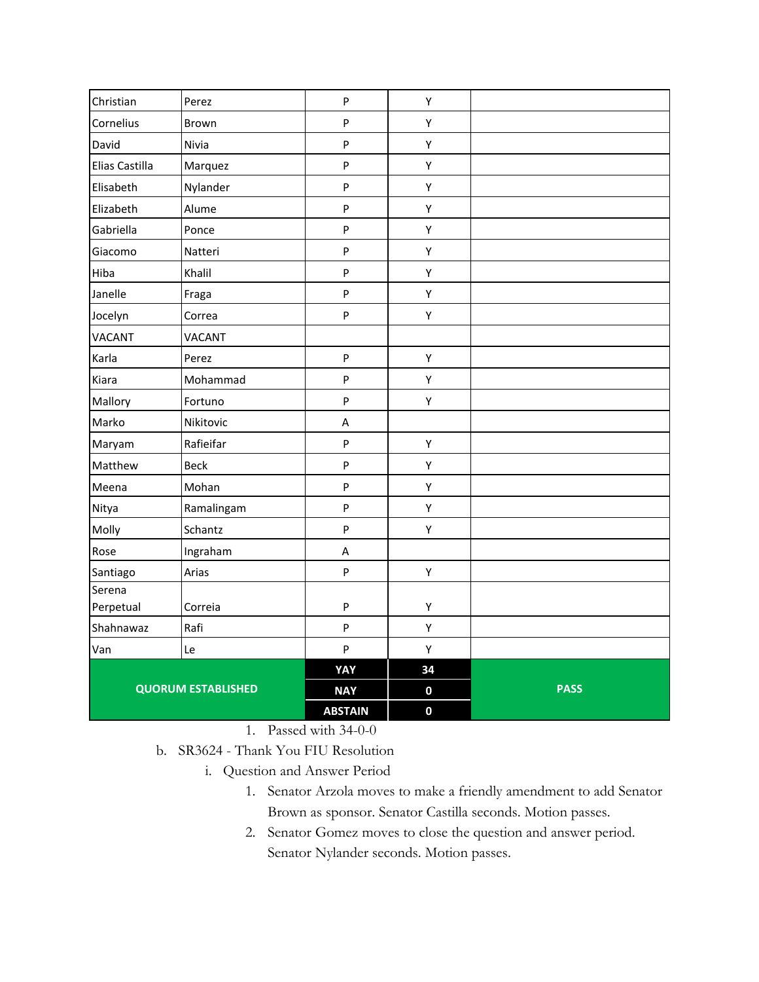| Christian      | Perez                     | $\mathsf{P}$              | Y           |             |
|----------------|---------------------------|---------------------------|-------------|-------------|
| Cornelius      | Brown                     | $\boldsymbol{\mathsf{P}}$ | Υ           |             |
| David          | Nivia                     | $\sf P$                   | Y           |             |
| Elias Castilla | Marquez                   | $\mathsf{P}$              | Y           |             |
| Elisabeth      | Nylander                  | $\mathsf{P}$              | Y           |             |
| Elizabeth      | Alume                     | $\mathsf{P}$              | Υ           |             |
| Gabriella      | Ponce                     | $\sf P$                   | Y           |             |
| Giacomo        | Natteri                   | $\sf P$                   | Υ           |             |
| Hiba           | Khalil                    | $\mathsf{P}$              | Y           |             |
| Janelle        | Fraga                     | $\sf P$                   | Y           |             |
| Jocelyn        | Correa                    | $\boldsymbol{\mathsf{P}}$ | Y           |             |
| <b>VACANT</b>  | <b>VACANT</b>             |                           |             |             |
| Karla          | Perez                     | $\boldsymbol{\mathsf{P}}$ | Y           |             |
| Kiara          | Mohammad                  | $\boldsymbol{\mathsf{P}}$ | Y           |             |
| Mallory        | Fortuno                   | $\boldsymbol{\mathsf{P}}$ | Y           |             |
| Marko          | Nikitovic                 | A                         |             |             |
| Maryam         | Rafieifar                 | $\boldsymbol{\mathsf{P}}$ | Υ           |             |
| Matthew        | <b>Beck</b>               | $\boldsymbol{\mathsf{P}}$ | Y           |             |
| Meena          | Mohan                     | $\boldsymbol{\mathsf{P}}$ | Y           |             |
| Nitya          | Ramalingam                | $\sf P$                   | Υ           |             |
| Molly          | Schantz                   | $\sf P$                   | Υ           |             |
| Rose           | Ingraham                  | A                         |             |             |
| Santiago       | Arias                     | $\mathsf{P}$              | Υ           |             |
| Serena         |                           |                           |             |             |
| Perpetual      | Correia                   | ${\sf P}$                 | Υ           |             |
| Shahnawaz      | Rafi                      | $\sf P$                   | Y           |             |
| Van            | Le                        | $\sf P$                   | Y           |             |
|                |                           | YAY                       | 34          |             |
|                | <b>QUORUM ESTABLISHED</b> | <b>NAY</b>                | $\mathbf 0$ | <b>PASS</b> |
|                |                           | <b>ABSTAIN</b>            | $\mathbf 0$ |             |

1. Passed with 34-0-0

- b. SR3624 Thank You FIU Resolution
	- i. Question and Answer Period
		- 1. Senator Arzola moves to make a friendly amendment to add Senator Brown as sponsor. Senator Castilla seconds. Motion passes.
		- 2. Senator Gomez moves to close the question and answer period. Senator Nylander seconds. Motion passes.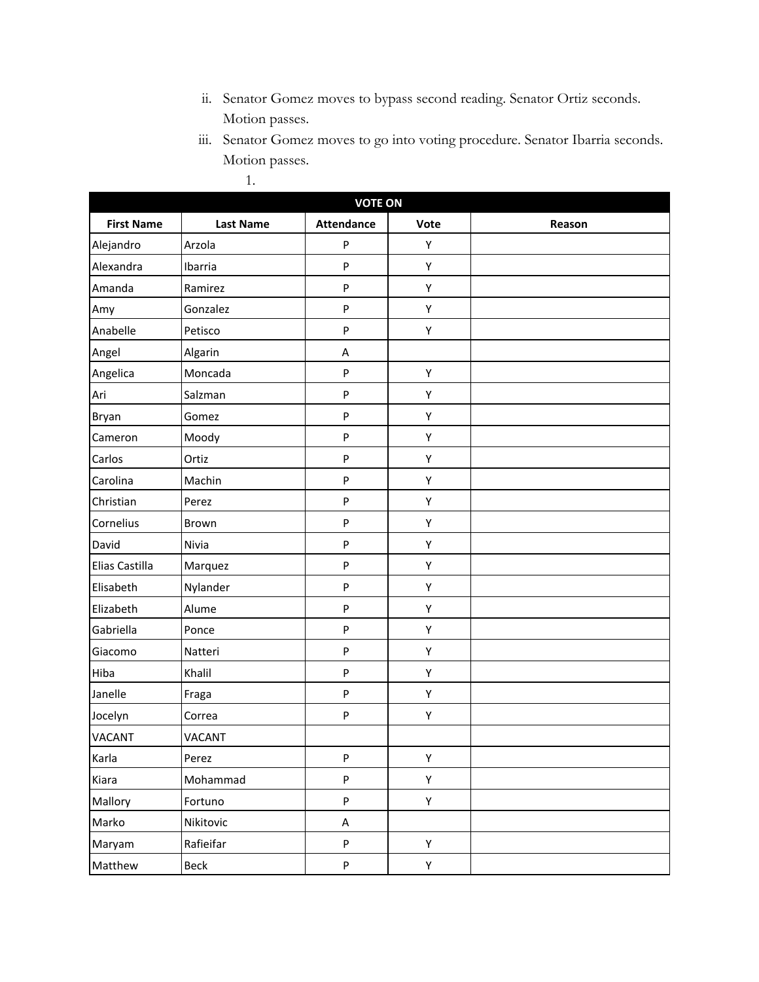- ii. Senator Gomez moves to bypass second reading. Senator Ortiz seconds. Motion passes.
- iii. Senator Gomez moves to go into voting procedure. Senator Ibarria seconds. Motion passes.

| ٠ |  |
|---|--|

| <b>VOTE ON</b>    |                  |                   |      |        |
|-------------------|------------------|-------------------|------|--------|
| <b>First Name</b> | <b>Last Name</b> | <b>Attendance</b> | Vote | Reason |
| Alejandro         | Arzola           | P                 | Υ    |        |
| Alexandra         | Ibarria          | P                 | Υ    |        |
| Amanda            | Ramirez          | P                 | Υ    |        |
| Amy               | Gonzalez         | P                 | Υ    |        |
| Anabelle          | Petisco          | P                 | Υ    |        |
| Angel             | Algarin          | Α                 |      |        |
| Angelica          | Moncada          | P                 | Υ    |        |
| Ari               | Salzman          | P                 | Υ    |        |
| Bryan             | Gomez            | P                 | Υ    |        |
| Cameron           | Moody            | P                 | Υ    |        |
| Carlos            | Ortiz            | P                 | Υ    |        |
| Carolina          | Machin           | P                 | Υ    |        |
| Christian         | Perez            | P                 | Υ    |        |
| Cornelius         | Brown            | P                 | Υ    |        |
| David             | Nivia            | P                 | Υ    |        |
| Elias Castilla    | Marquez          | P                 | Υ    |        |
| Elisabeth         | Nylander         | P                 | Υ    |        |
| Elizabeth         | Alume            | P                 | Υ    |        |
| Gabriella         | Ponce            | P                 | Υ    |        |
| Giacomo           | Natteri          | P                 | Υ    |        |
| Hiba              | Khalil           | P                 | Υ    |        |
| Janelle           | Fraga            | P                 | Υ    |        |
| Jocelyn           | Correa           | P                 | Υ    |        |
| <b>VACANT</b>     | <b>VACANT</b>    |                   |      |        |
| Karla             | Perez            | P                 | Υ    |        |
| Kiara             | Mohammad         | P                 | Υ    |        |
| Mallory           | Fortuno          | P                 | Υ    |        |
| Marko             | Nikitovic        | $\mathsf A$       |      |        |
| Maryam            | Rafieifar        | P                 | Y    |        |
| Matthew           | Beck             | P                 | Y    |        |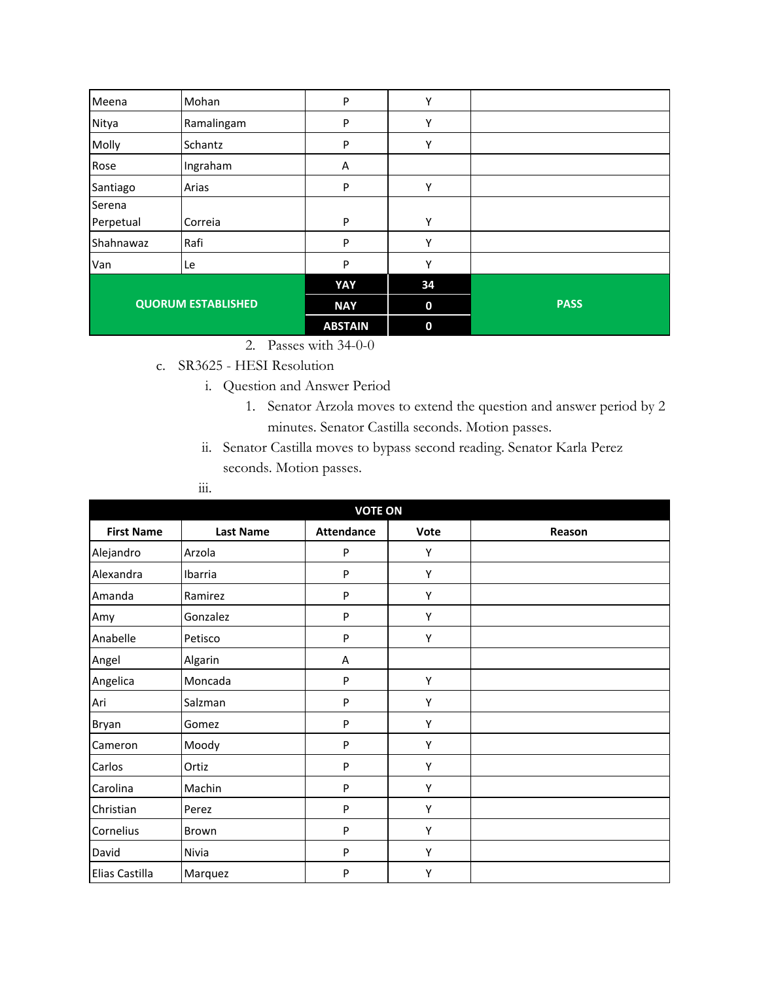| Meena                     | Mohan      | P              | Υ                |             |
|---------------------------|------------|----------------|------------------|-------------|
| Nitya                     | Ramalingam | P              | Υ                |             |
| Molly                     | Schantz    | P              | Υ                |             |
| Rose                      | Ingraham   | Α              |                  |             |
| Santiago                  | Arias      | P              | Υ                |             |
| Serena                    |            |                |                  |             |
| Perpetual                 | Correia    | P              | Υ                |             |
| Shahnawaz                 | Rafi       | P              | Υ                |             |
| Van                       | Le         | P              | ٧                |             |
|                           |            | YAY            | 34               |             |
| <b>QUORUM ESTABLISHED</b> |            | <b>NAY</b>     | $\boldsymbol{0}$ | <b>PASS</b> |
|                           |            | <b>ABSTAIN</b> | $\bf{0}$         |             |

- 2. Passes with 34-0-0
- c. SR3625 HESI Resolution
	- i. Question and Answer Period
		- 1. Senator Arzola moves to extend the question and answer period by 2 minutes. Senator Castilla seconds. Motion passes.
	- ii. Senator Castilla moves to bypass second reading. Senator Karla Perez seconds. Motion passes.
	- iii.

| <b>VOTE ON</b>    |                  |                   |      |        |
|-------------------|------------------|-------------------|------|--------|
| <b>First Name</b> | <b>Last Name</b> | <b>Attendance</b> | Vote | Reason |
| Alejandro         | Arzola           | P                 | Υ    |        |
| Alexandra         | Ibarria          | P                 | Υ    |        |
| Amanda            | Ramirez          | P                 | Y    |        |
| Amy               | Gonzalez         | P                 | Υ    |        |
| Anabelle          | Petisco          | P                 | Υ    |        |
| Angel             | Algarin          | Α                 |      |        |
| Angelica          | Moncada          | P                 | Υ    |        |
| Ari               | Salzman          | P                 | Υ    |        |
| Bryan             | Gomez            | P                 | Υ    |        |
| Cameron           | Moody            | P                 | Υ    |        |
| Carlos            | Ortiz            | P                 | Υ    |        |
| Carolina          | Machin           | P                 | Υ    |        |
| Christian         | Perez            | P                 | Υ    |        |
| Cornelius         | Brown            | P                 | Υ    |        |
| David             | Nivia            | P                 | Υ    |        |
| Elias Castilla    | Marquez          | P                 | Υ    |        |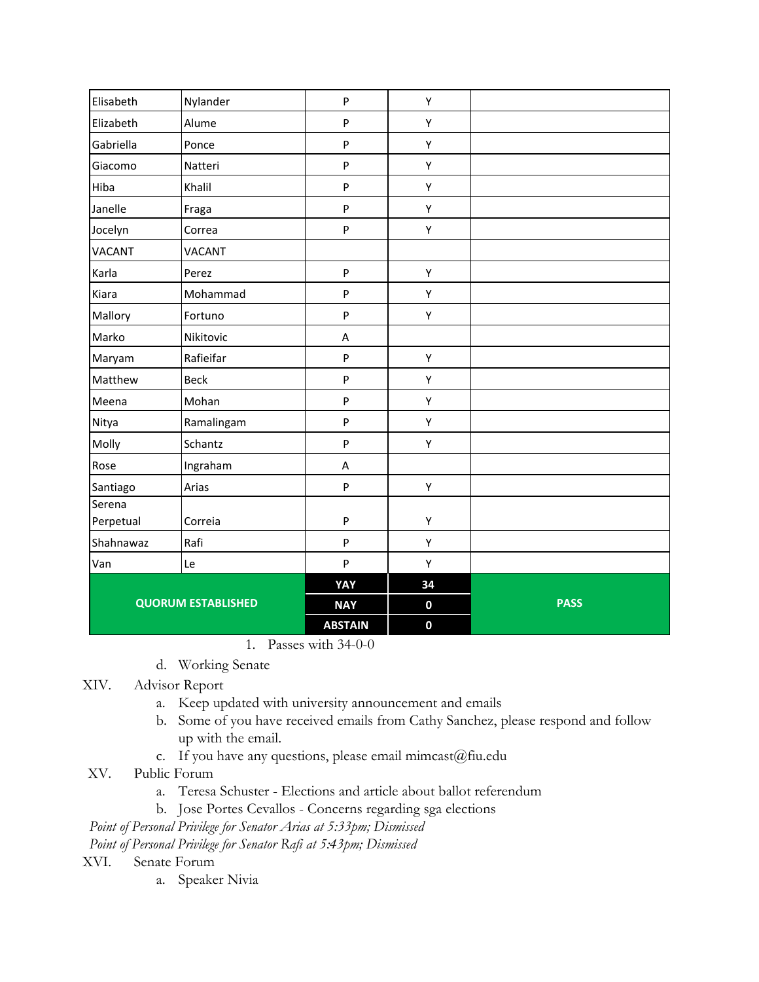| Elisabeth                 | Nylander      | $\boldsymbol{\mathsf{P}}$ | Υ           |             |
|---------------------------|---------------|---------------------------|-------------|-------------|
| Elizabeth                 | Alume         | ${\sf P}$                 | Υ           |             |
| Gabriella                 | Ponce         | P                         | Υ           |             |
| Giacomo                   | Natteri       | P                         | Υ           |             |
| Hiba                      | Khalil        | P                         | Υ           |             |
| Janelle                   | Fraga         | P                         | Υ           |             |
| Jocelyn                   | Correa        | P                         | Υ           |             |
| <b>VACANT</b>             | <b>VACANT</b> |                           |             |             |
| Karla                     | Perez         | $\sf P$                   | Υ           |             |
| Kiara                     | Mohammad      | P                         | Υ           |             |
| Mallory                   | Fortuno       | P                         | Υ           |             |
| Marko                     | Nikitovic     | $\sf A$                   |             |             |
| Maryam                    | Rafieifar     | P                         | Υ           |             |
| Matthew                   | Beck          | $\mathsf{P}$              | Υ           |             |
| Meena                     | Mohan         | P                         | Υ           |             |
| Nitya                     | Ramalingam    | P                         | Υ           |             |
| Molly                     | Schantz       | P                         | Υ           |             |
| Rose                      | Ingraham      | A                         |             |             |
| Santiago                  | Arias         | $\sf P$                   | Υ           |             |
| Serena                    |               |                           |             |             |
| Perpetual                 | Correia       | ${\sf P}$                 | Υ           |             |
| Shahnawaz                 | Rafi          | $\mathsf{P}$              | Υ           |             |
| Van                       | Le            | P                         | Υ           |             |
|                           |               | YAY                       | 34          |             |
| <b>QUORUM ESTABLISHED</b> |               | <b>NAY</b>                | $\mathbf 0$ | <b>PASS</b> |
|                           |               | <b>ABSTAIN</b>            | $\mathbf 0$ |             |

1. Passes with 34-0-0

d. Working Senate

XIV. Advisor Report

- a. Keep updated with university announcement and emails
- b. Some of you have received emails from Cathy Sanchez, please respond and follow up with the email.
- c. If you have any questions, please email mimcast@fiu.edu
- XV. Public Forum
	- a. Teresa Schuster Elections and article about ballot referendum
	- b. Jose Portes Cevallos Concerns regarding sga elections

*Point of Personal Privilege for Senator Arias at 5:33pm; Dismissed*

*Point of Personal Privilege for Senator Rafi at 5:43pm; Dismissed*

XVI. Senate Forum

a. Speaker Nivia